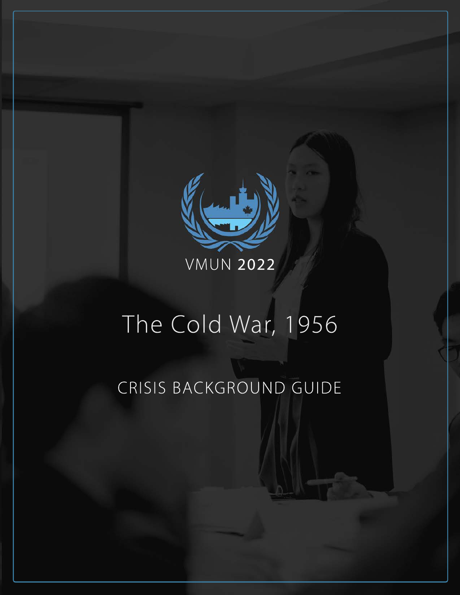

# The Cold War, 1956

## CRISIS BACKGROUND GUIDE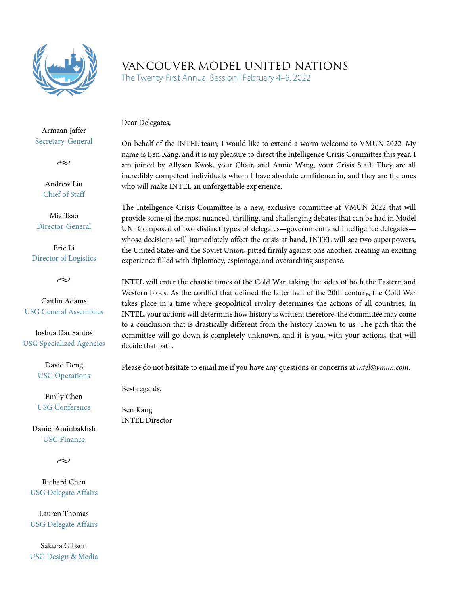

## VANCOUVER MODEL UNITED NATIONS

The Twenty-First Annual Session | February 4–6, 2022

Dear Delegates,

Armaan Jaffer Secretary-General

 $\sim$ 

Andrew Liu Chief of Staff

Mia Tsao Director-General

Eric Li Director of Logistics

 $\sim$ 

Caitlin Adams USG General Assemblies

Joshua Dar Santos USG Specialized Agencies

> David Deng USG Operations

Emily Chen USG Conference

Daniel Aminbakhsh USG Finance

 $\sim$ 

Richard Chen USG Delegate Affairs

Lauren Thomas USG Delegate Affairs

Sakura Gibson USG Design & Media On behalf of the INTEL team, I would like to extend a warm welcome to VMUN 2022. My name is Ben Kang, and it is my pleasure to direct the Intelligence Crisis Committee this year. I am joined by Allysen Kwok, your Chair, and Annie Wang, your Crisis Staff. They are all incredibly competent individuals whom I have absolute confidence in, and they are the ones who will make INTEL an unforgettable experience.

The Intelligence Crisis Committee is a new, exclusive committee at VMUN 2022 that will provide some of the most nuanced, thrilling, and challenging debates that can be had in Model UN. Composed of two distinct types of delegates—government and intelligence delegates whose decisions will immediately affect the crisis at hand, INTEL will see two superpowers, the United States and the Soviet Union, pitted firmly against one another, creating an exciting experience filled with diplomacy, espionage, and overarching suspense.

INTEL will enter the chaotic times of the Cold War, taking the sides of both the Eastern and Western blocs. As the conflict that defined the latter half of the 20th century, the Cold War takes place in a time where geopolitical rivalry determines the actions of all countries. In INTEL, your actions will determine how history is written; therefore, the committee may come to a conclusion that is drastically different from the history known to us. The path that the committee will go down is completely unknown, and it is you, with your actions, that will decide that path.

Please do not hesitate to email me if you have any questions or concerns at *intel@vmun.com*.

Best regards,

Ben Kang INTEL Director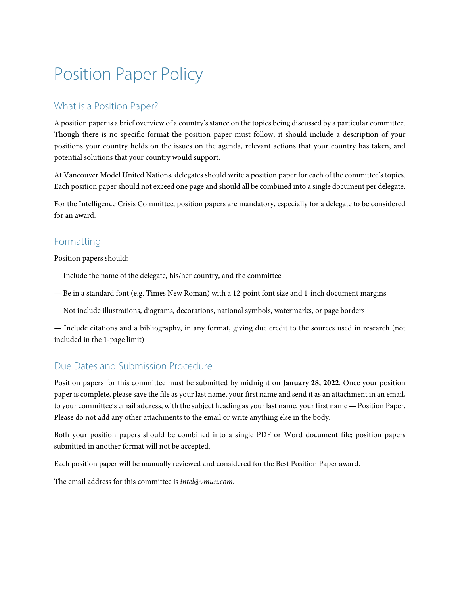## Position Paper Policy

## What is a Position Paper?

A position paper is a brief overview of a country's stance on the topics being discussed by a particular committee. Though there is no specific format the position paper must follow, it should include a description of your positions your country holds on the issues on the agenda, relevant actions that your country has taken, and potential solutions that your country would support.

At Vancouver Model United Nations, delegates should write a position paper for each of the committee's topics. Each position paper should not exceed one page and should all be combined into a single document per delegate.

For the Intelligence Crisis Committee, position papers are mandatory, especially for a delegate to be considered for an award.

## Formatting

Position papers should:

- Include the name of the delegate, his/her country, and the committee
- Be in a standard font (e.g. Times New Roman) with a 12-point font size and 1-inch document margins
- Not include illustrations, diagrams, decorations, national symbols, watermarks, or page borders

— Include citations and a bibliography, in any format, giving due credit to the sources used in research (not included in the 1-page limit)

## Due Dates and Submission Procedure

Position papers for this committee must be submitted by midnight on **January 28, 2022**. Once your position paper is complete, please save the file as your last name, your first name and send it as an attachment in an email, to your committee's email address, with the subject heading as your last name, your first name — Position Paper. Please do not add any other attachments to the email or write anything else in the body.

Both your position papers should be combined into a single PDF or Word document file; position papers submitted in another format will not be accepted.

Each position paper will be manually reviewed and considered for the Best Position Paper award.

The email address for this committee is *intel@vmun.com*.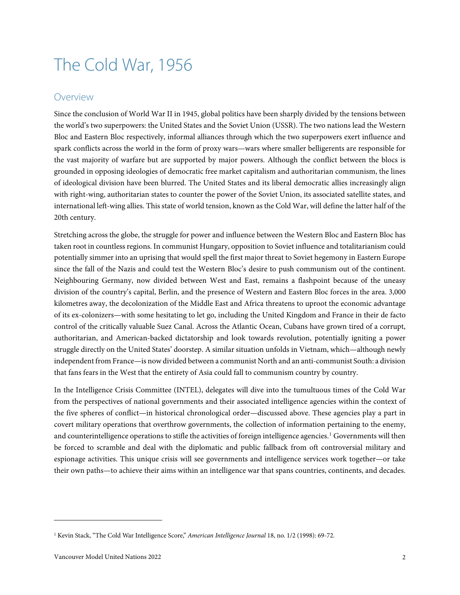## <span id="page-4-0"></span>The Cold War, 1956

## <span id="page-4-1"></span>Overview

Since the conclusion of World War II in 1945, global politics have been sharply divided by the tensions between the world's two superpowers: the United States and the Soviet Union (USSR). The two nations lead the Western Bloc and Eastern Bloc respectively, informal alliances through which the two superpowers exert influence and spark conflicts across the world in the form of proxy wars—wars where smaller belligerents are responsible for the vast majority of warfare but are supported by major powers. Although the conflict between the blocs is grounded in opposing ideologies of democratic free market capitalism and authoritarian communism, the lines of ideological division have been blurred. The United States and its liberal democratic allies increasingly align with right-wing, authoritarian states to counter the power of the Soviet Union, its associated satellite states, and international left-wing allies. This state of world tension, known as the Cold War, will define the latter half of the 20th century.

Stretching across the globe, the struggle for power and influence between the Western Bloc and Eastern Bloc has taken root in countless regions. In communist Hungary, opposition to Soviet influence and totalitarianism could potentially simmer into an uprising that would spell the first major threat to Soviet hegemony in Eastern Europe since the fall of the Nazis and could test the Western Bloc's desire to push communism out of the continent. Neighbouring Germany, now divided between West and East, remains a flashpoint because of the uneasy division of the country's capital, Berlin, and the presence of Western and Eastern Bloc forces in the area. 3,000 kilometres away, the decolonization of the Middle East and Africa threatens to uproot the economic advantage of its ex-colonizers—with some hesitating to let go, including the United Kingdom and France in their de facto control of the critically valuable Suez Canal. Across the Atlantic Ocean, Cubans have grown tired of a corrupt, authoritarian, and American-backed dictatorship and look towards revolution, potentially igniting a power struggle directly on the United States' doorstep. A similar situation unfolds in Vietnam, which—although newly independent from France—is now divided between a communist North and an anti-communist South: a division that fans fears in the West that the entirety of Asia could fall to communism country by country.

In the Intelligence Crisis Committee (INTEL), delegates will dive into the tumultuous times of the Cold War from the perspectives of national governments and their associated intelligence agencies within the context of the five spheres of conflict—in historical chronological order—discussed above. These agencies play a part in covert military operations that overthrow governments, the collection of information pertaining to the enemy, and counterintelligence operations to stifle the activities of foreign intelligence agencies.<sup>[1](#page-4-2)</sup> Governments will then be forced to scramble and deal with the diplomatic and public fallback from oft controversial military and espionage activities. This unique crisis will see governments and intelligence services work together—or take their own paths—to achieve their aims within an intelligence war that spans countries, continents, and decades.

<span id="page-4-2"></span><sup>1</sup> Kevin Stack, "The Cold War Intelligence Score," *American Intelligence Journal* 18, no. 1/2 (1998): 69-72.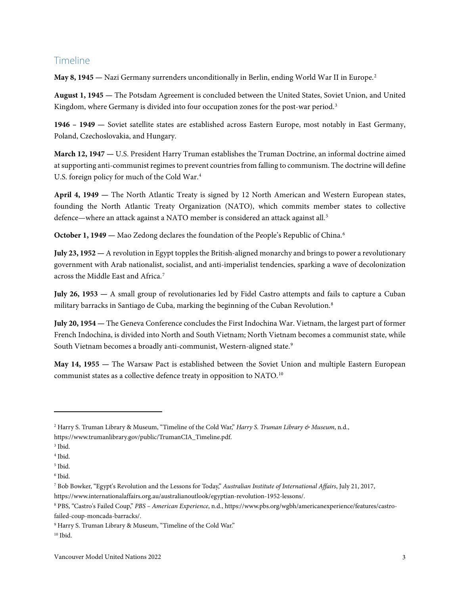## <span id="page-5-0"></span>Timeline

**May 8, 1945 —** Nazi Germany surrenders unconditionally in Berlin, ending World War II in Europe.[2](#page-5-1)

**August 1, 1945 —** The Potsdam Agreement is concluded between the United States, Soviet Union, and United Kingdom, where Germany is divided into four occupation zones for the post-war period.<sup>[3](#page-5-2)</sup>

**1946 – 1949 —** Soviet satellite states are established across Eastern Europe, most notably in East Germany, Poland, Czechoslovakia, and Hungary.

**March 12, 1947 —** U.S. President Harry Truman establishes the Truman Doctrine, an informal doctrine aimed at supporting anti-communist regimes to prevent countries from falling to communism. The doctrine will define U.S. foreign policy for much of the Cold War.<sup>[4](#page-5-3)</sup>

**April 4, 1949 —** The North Atlantic Treaty is signed by 12 North American and Western European states, founding the North Atlantic Treaty Organization (NATO), which commits member states to collective defence—where an attack against a NATO member is considered an attack against all.<sup>[5](#page-5-4)</sup>

**October 1, 1949 —** Mao Zedong declares the foundation of the People's Republic of China.<sup>[6](#page-5-5)</sup>

**July 23, 1952 —** A revolution in Egypt topples the British-aligned monarchy and brings to power a revolutionary government with Arab nationalist, socialist, and anti-imperialist tendencies, sparking a wave of decolonization across the Middle East and Africa.[7](#page-5-6)

**July 26, 1953 —** A small group of revolutionaries led by Fidel Castro attempts and fails to capture a Cuban military barracks in Santiago de Cuba, marking the beginning of the Cuban Revolution.[8](#page-5-7)

**July 20, 1954 —** The Geneva Conference concludes the First Indochina War. Vietnam, the largest part of former French Indochina, is divided into North and South Vietnam; North Vietnam becomes a communist state, while South Vietnam becomes a broadly anti-communist, Western-aligned state.<sup>[9](#page-5-8)</sup>

**May 14, 1955 —** The Warsaw Pact is established between the Soviet Union and multiple Eastern European communist states as a collective defence treaty in opposition to NATO.[10](#page-5-9)

<span id="page-5-1"></span><sup>2</sup> Harry S. Truman Library & Museum, "Timeline of the Cold War," *Harry S. Truman Library & Museum*, n.d., https://www.trumanlibrary.gov/public/TrumanCIA\_Timeline.pdf.

<span id="page-5-2"></span><sup>3</sup> Ibid.

<span id="page-5-3"></span><sup>4</sup> Ibid.

<span id="page-5-4"></span><sup>5</sup> Ibid.

<span id="page-5-5"></span><sup>6</sup> Ibid.

<span id="page-5-6"></span><sup>7</sup> Bob Bowker, "Egypt's Revolution and the Lessons for Today," *Australian Institute of International Affairs*, July 21, 2017,

https://www.internationalaffairs.org.au/australianoutlook/egyptian-revolution-1952-lessons/.

<span id="page-5-7"></span><sup>8</sup> PBS, "Castro's Failed Coup," *PBS – American Experience*, n.d., https://www.pbs.org/wgbh/americanexperience/features/castrofailed-coup-moncada-barracks/.

<span id="page-5-8"></span><sup>9</sup> Harry S. Truman Library & Museum, "Timeline of the Cold War."

<span id="page-5-9"></span><sup>10</sup> Ibid.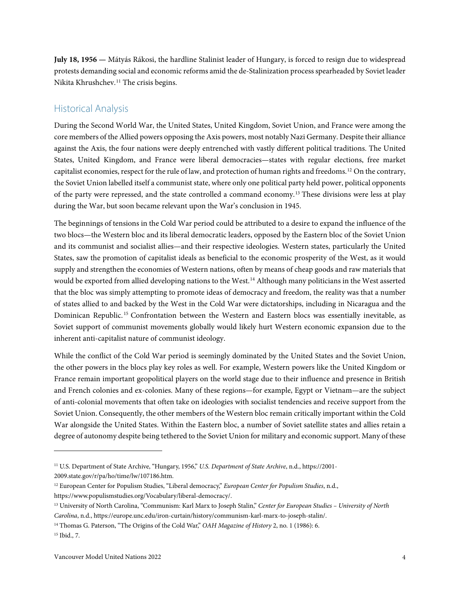**July 18, 1956 —** Mátyás Rákosi, the hardline Stalinist leader of Hungary, is forced to resign due to widespread protests demanding social and economic reforms amid the de-Stalinization process spearheaded by Soviet leader Nikita Khrushchev.<sup>[11](#page-6-1)</sup> The crisis begins.

## <span id="page-6-0"></span>Historical Analysis

During the Second World War, the United States, United Kingdom, Soviet Union, and France were among the core members of the Allied powers opposing the Axis powers, most notably Nazi Germany. Despite their alliance against the Axis, the four nations were deeply entrenched with vastly different political traditions. The United States, United Kingdom, and France were liberal democracies—states with regular elections, free market capitalist economies, respect for the rule of law, and protection of human rights and freedoms.<sup>[12](#page-6-2)</sup> On the contrary, the Soviet Union labelled itself a communist state, where only one political party held power, political opponents of the party were repressed, and the state controlled a command economy.[13](#page-6-3) These divisions were less at play during the War, but soon became relevant upon the War's conclusion in 1945.

The beginnings of tensions in the Cold War period could be attributed to a desire to expand the influence of the two blocs—the Western bloc and its liberal democratic leaders, opposed by the Eastern bloc of the Soviet Union and its communist and socialist allies—and their respective ideologies. Western states, particularly the United States, saw the promotion of capitalist ideals as beneficial to the economic prosperity of the West, as it would supply and strengthen the economies of Western nations, often by means of cheap goods and raw materials that would be exported from allied developing nations to the West.[14](#page-6-4) Although many politicians in the West asserted that the bloc was simply attempting to promote ideas of democracy and freedom, the reality was that a number of states allied to and backed by the West in the Cold War were dictatorships, including in Nicaragua and the Dominican Republic. [15](#page-6-5) Confrontation between the Western and Eastern blocs was essentially inevitable, as Soviet support of communist movements globally would likely hurt Western economic expansion due to the inherent anti-capitalist nature of communist ideology.

While the conflict of the Cold War period is seemingly dominated by the United States and the Soviet Union, the other powers in the blocs play key roles as well. For example, Western powers like the United Kingdom or France remain important geopolitical players on the world stage due to their influence and presence in British and French colonies and ex-colonies. Many of these regions—for example, Egypt or Vietnam—are the subject of anti-colonial movements that often take on ideologies with socialist tendencies and receive support from the Soviet Union. Consequently, the other members of the Western bloc remain critically important within the Cold War alongside the United States. Within the Eastern bloc, a number of Soviet satellite states and allies retain a degree of autonomy despite being tethered to the Soviet Union for military and economic support. Many of these

<span id="page-6-1"></span><sup>11</sup> U.S. Department of State Archive, "Hungary, 1956," *U.S. Department of State Archive*, n.d., https://2001-

<sup>2009.</sup>state.gov/r/pa/ho/time/lw/107186.htm.

<span id="page-6-2"></span><sup>12</sup> European Center for Populism Studies, "Liberal democracy," *European Center for Populism Studies*, n.d.,

https://www.populismstudies.org/Vocabulary/liberal-democracy/.

<span id="page-6-3"></span><sup>13</sup> University of North Carolina, "Communism: Karl Marx to Joseph Stalin," *Center for European Studies – University of North Carolina*, n.d., https://europe.unc.edu/iron-curtain/history/communism-karl-marx-to-joseph-stalin/.

<span id="page-6-4"></span><sup>14</sup> Thomas G. Paterson, "The Origins of the Cold War," *OAH Magazine of History* 2, no. 1 (1986): 6.

<span id="page-6-5"></span><sup>15</sup> Ibid., 7.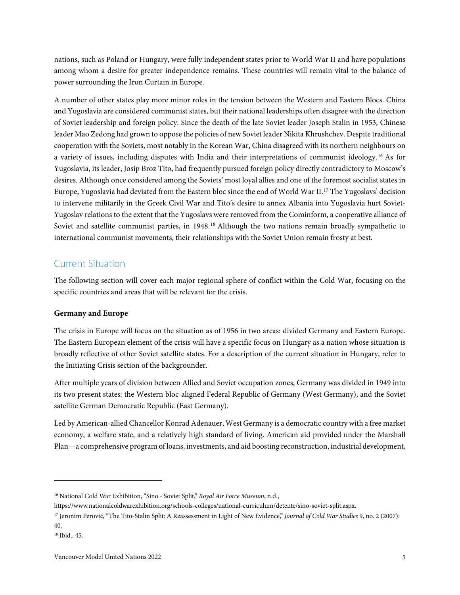nations, such as Poland or Hungary, were fully independent states prior to World War II and have populations among whom a desire for greater independence remains. These countries will remain vital to the balance of power surrounding the Iron Curtain in Europe.

A number of other states play more minor roles in the tension between the Western and Eastern Blocs. China and Yugoslavia are considered communist states, but their national leaderships often disagree with the direction of Soviet leadership and foreign policy. Since the death of the late Soviet leader Joseph Stalin in 1953, Chinese leader Mao Zedong had grown to oppose the policies of new Soviet leader Nikita Khrushchev. Despite traditional cooperation with the Soviets, most notably in the Korean War, China disagreed with its northern neighbours on a variety of issues, including disputes with India and their interpretations of communist ideology. [16](#page-7-2) As for Yugoslavia, its leader, Josip Broz Tito, had frequently pursued foreign policy directly contradictory to Moscow's desires. Although once considered among the Soviets' most loyal allies and one of the foremost socialist states in Europe, Yugoslavia had deviated from the Eastern bloc since the end of World War II.[17](#page-7-3) The Yugoslavs' decision to intervene militarily in the Greek Civil War and Tito's desire to annex Albania into Yugoslavia hurt Soviet-Yugoslav relations to the extent that the Yugoslavs were removed from the Cominform, a cooperative alliance of Soviet and satellite communist parties, in 1948.<sup>[18](#page-7-4)</sup> Although the two nations remain broadly sympathetic to international communist movements, their relationships with the Soviet Union remain frosty at best.

## <span id="page-7-0"></span>Current Situation

The following section will cover each major regional sphere of conflict within the Cold War, focusing on the specific countries and areas that will be relevant for the crisis.

#### <span id="page-7-1"></span>**Germany and Europe**

The crisis in Europe will focus on the situation as of 1956 in two areas: divided Germany and Eastern Europe. The Eastern European element of the crisis will have a specific focus on Hungary as a nation whose situation is broadly reflective of other Soviet satellite states. For a description of the current situation in Hungary, refer to the Initiating Crisis section of the backgrounder.

After multiple years of division between Allied and Soviet occupation zones, Germany was divided in 1949 into its two present states: the Western bloc-aligned Federal Republic of Germany (West Germany), and the Soviet satellite German Democratic Republic (East Germany).

Led by American-allied Chancellor Konrad Adenauer, West Germany is a democratic country with a free market economy, a welfare state, and a relatively high standard of living. American aid provided under the Marshall Plan—a comprehensive program of loans, investments, and aid boosting reconstruction, industrial development,

<span id="page-7-2"></span><sup>16</sup> National Cold War Exhibition, "Sino - Soviet Split," *Royal Air Force Museum*, n.d.,

https://www.nationalcoldwarexhibition.org/schools-colleges/national-curriculum/detente/sino-soviet-split.aspx.

<span id="page-7-3"></span><sup>&</sup>lt;sup>17</sup> Jeronim Perović, "The Tito-Stalin Split: A Reassessment in Light of New Evidence," *Journal of Cold War Studies* 9, no. 2 (2007): 40.

<span id="page-7-4"></span><sup>18</sup> Ibid., 45.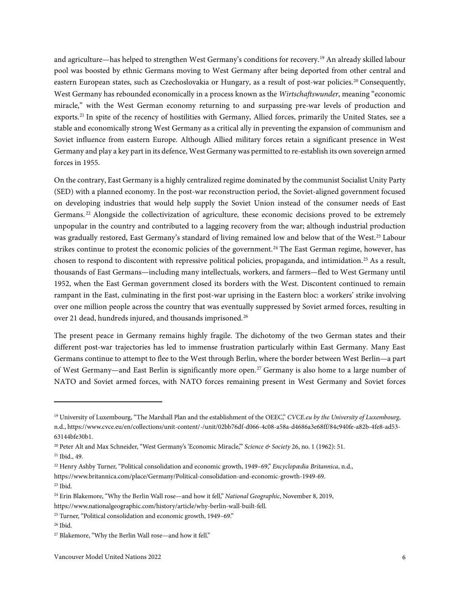and agriculture—has helped to strengthen West Germany's conditions for recovery.[19](#page-8-0) An already skilled labour pool was boosted by ethnic Germans moving to West Germany after being deported from other central and eastern European states, such as Czechoslovakia or Hungary, as a result of post-war policies.<sup>[20](#page-8-1)</sup> Consequently, West Germany has rebounded economically in a process known as the *Wirtschaftswunder*, meaning "economic miracle," with the West German economy returning to and surpassing pre-war levels of production and exports.<sup>[21](#page-8-2)</sup> In spite of the recency of hostilities with Germany, Allied forces, primarily the United States, see a stable and economically strong West Germany as a critical ally in preventing the expansion of communism and Soviet influence from eastern Europe. Although Allied military forces retain a significant presence in West Germany and play a key part in its defence, West Germany was permitted to re-establish its own sovereign armed forces in 1955.

On the contrary, East Germany is a highly centralized regime dominated by the communist Socialist Unity Party (SED) with a planned economy. In the post-war reconstruction period, the Soviet-aligned government focused on developing industries that would help supply the Soviet Union instead of the consumer needs of East Germans.<sup>[22](#page-8-3)</sup> Alongside the collectivization of agriculture, these economic decisions proved to be extremely unpopular in the country and contributed to a lagging recovery from the war; although industrial production was gradually restored, East Germany's standard of living remained low and below that of the West.[23](#page-8-4) Labour strikes continue to protest the economic policies of the government.<sup>[24](#page-8-5)</sup> The East German regime, however, has chosen to respond to discontent with repressive political policies, propaganda, and intimidation.[25](#page-8-6) As a result, thousands of East Germans—including many intellectuals, workers, and farmers—fled to West Germany until 1952, when the East German government closed its borders with the West. Discontent continued to remain rampant in the East, culminating in the first post-war uprising in the Eastern bloc: a workers' strike involving over one million people across the country that was eventually suppressed by Soviet armed forces, resulting in over 21 dead, hundreds injured, and thousands imprisoned.[26](#page-8-7)

The present peace in Germany remains highly fragile. The dichotomy of the two German states and their different post-war trajectories has led to immense frustration particularly within East Germany. Many East Germans continue to attempt to flee to the West through Berlin, where the border between West Berlin—a part of West Germany—and East Berlin is significantly more open.[27](#page-8-8) Germany is also home to a large number of NATO and Soviet armed forces, with NATO forces remaining present in West Germany and Soviet forces

<span id="page-8-0"></span><sup>19</sup> University of Luxembourg, "The Marshall Plan and the establishment of the OEEC," *CVCE.eu by the University of Luxembourg*, n.d., https://www.cvce.eu/en/collections/unit-content/-/unit/02bb76df-d066-4c08-a58a-d4686a3e68ff/84c940fe-a82b-4fe8-ad53- 63144bfe30b1.

<span id="page-8-1"></span><sup>20</sup> Peter Alt and Max Schneider, "West Germany's 'Economic Miracle,'" *Science & Society* 26, no. 1 (1962): 51.

<span id="page-8-2"></span><sup>21</sup> Ibid., 49.

<span id="page-8-3"></span><sup>22</sup> Henry Ashby Turner, "Political consolidation and economic growth, 1949–69," *Encyclopædia Britannica*, n.d.,

https://www.britannica.com/place/Germany/Political-consolidation-and-economic-growth-1949-69.

<span id="page-8-4"></span> $23$  Ibid.

<span id="page-8-5"></span><sup>24</sup> Erin Blakemore, "Why the Berlin Wall rose—and how it fell," *National Geographic*, November 8, 2019,

https://www.nationalgeographic.com/history/article/why-berlin-wall-built-fell.

<span id="page-8-6"></span><sup>&</sup>lt;sup>25</sup> Turner, "Political consolidation and economic growth, 1949–69."

<span id="page-8-7"></span><sup>26</sup> Ibid.

<span id="page-8-8"></span><sup>&</sup>lt;sup>27</sup> Blakemore, "Why the Berlin Wall rose—and how it fell."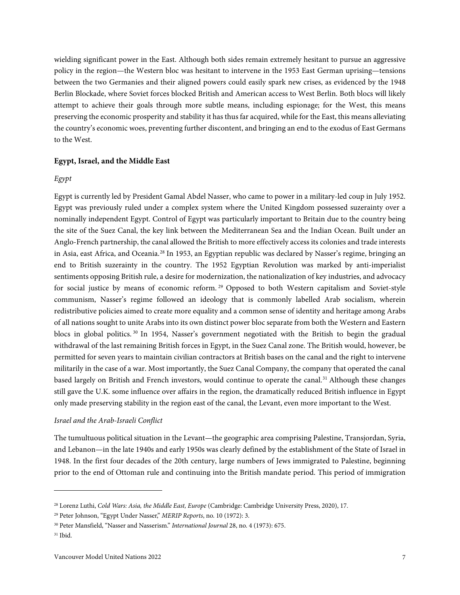wielding significant power in the East. Although both sides remain extremely hesitant to pursue an aggressive policy in the region—the Western bloc was hesitant to intervene in the 1953 East German uprising—tensions between the two Germanies and their aligned powers could easily spark new crises, as evidenced by the 1948 Berlin Blockade, where Soviet forces blocked British and American access to West Berlin. Both blocs will likely attempt to achieve their goals through more subtle means, including espionage; for the West, this means preserving the economic prosperity and stability it has thus far acquired, while for the East, this means alleviating the country's economic woes, preventing further discontent, and bringing an end to the exodus of East Germans to the West.

#### <span id="page-9-0"></span>**Egypt, Israel, and the Middle East**

#### *Egypt*

Egypt is currently led by President Gamal Abdel Nasser, who came to power in a military-led coup in July 1952. Egypt was previously ruled under a complex system where the United Kingdom possessed suzerainty over a nominally independent Egypt. Control of Egypt was particularly important to Britain due to the country being the site of the Suez Canal, the key link between the Mediterranean Sea and the Indian Ocean. Built under an Anglo-French partnership, the canal allowed the British to more effectively access its colonies and trade interests in Asia, east Africa, and Oceania.[28](#page-9-1) In 1953, an Egyptian republic was declared by Nasser's regime, bringing an end to British suzerainty in the country. The 1952 Egyptian Revolution was marked by anti-imperialist sentiments opposing British rule, a desire for modernization, the nationalization of key industries, and advocacy for social justice by means of economic reform.<sup>[29](#page-9-2)</sup> Opposed to both Western capitalism and Soviet-style communism, Nasser's regime followed an ideology that is commonly labelled Arab socialism, wherein redistributive policies aimed to create more equality and a common sense of identity and heritage among Arabs of all nations sought to unite Arabs into its own distinct power bloc separate from both the Western and Eastern blocs in global politics. [30](#page-9-3) In 1954, Nasser's government negotiated with the British to begin the gradual withdrawal of the last remaining British forces in Egypt, in the Suez Canal zone. The British would, however, be permitted for seven years to maintain civilian contractors at British bases on the canal and the right to intervene militarily in the case of a war. Most importantly, the Suez Canal Company, the company that operated the canal based largely on British and French investors, would continue to operate the canal.<sup>[31](#page-9-4)</sup> Although these changes still gave the U.K. some influence over affairs in the region, the dramatically reduced British influence in Egypt only made preserving stability in the region east of the canal, the Levant, even more important to the West.

#### *Israel and the Arab-Israeli Conflict*

The tumultuous political situation in the Levant—the geographic area comprising Palestine, Transjordan, Syria, and Lebanon—in the late 1940s and early 1950s was clearly defined by the establishment of the State of Israel in 1948. In the first four decades of the 20th century, large numbers of Jews immigrated to Palestine, beginning prior to the end of Ottoman rule and continuing into the British mandate period. This period of immigration

<span id="page-9-1"></span><sup>28</sup> Lorenz Luthi, *Cold Wars: Asia, the Middle East, Europe* (Cambridge: Cambridge University Press, 2020), 17.

<span id="page-9-2"></span><sup>29</sup> Peter Johnson, "Egypt Under Nasser," *MERIP Reports*, no. 10 (1972): 3.

<span id="page-9-3"></span><sup>30</sup> Peter Mansfield, "Nasser and Nasserism." *International Journal* 28, no. 4 (1973): 675.

<span id="page-9-4"></span> $31$  Ibid.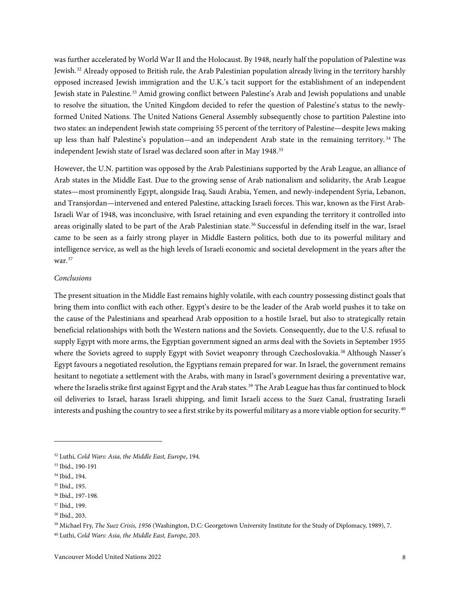was further accelerated by World War II and the Holocaust. By 1948, nearly half the population of Palestine was Jewish.[32](#page-10-0) Already opposed to British rule, the Arab Palestinian population already living in the territory harshly opposed increased Jewish immigration and the U.K.'s tacit support for the establishment of an independent Jewish state in Palestine.[33](#page-10-1) Amid growing conflict between Palestine's Arab and Jewish populations and unable to resolve the situation, the United Kingdom decided to refer the question of Palestine's status to the newlyformed United Nations. The United Nations General Assembly subsequently chose to partition Palestine into two states: an independent Jewish state comprising 55 percent of the territory of Palestine—despite Jews making up less than half Palestine's population—and an independent Arab state in the remaining territory. [34](#page-10-2) The independent Jewish state of Israel was declared soon after in May 1948.<sup>[35](#page-10-3)</sup>

However, the U.N. partition was opposed by the Arab Palestinians supported by the Arab League, an alliance of Arab states in the Middle East. Due to the growing sense of Arab nationalism and solidarity, the Arab League states—most prominently Egypt, alongside Iraq, Saudi Arabia, Yemen, and newly-independent Syria, Lebanon, and Transjordan—intervened and entered Palestine, attacking Israeli forces. This war, known as the First Arab-Israeli War of 1948, was inconclusive, with Israel retaining and even expanding the territory it controlled into areas originally slated to be part of the Arab Palestinian state.<sup>[36](#page-10-4)</sup> Successful in defending itself in the war, Israel came to be seen as a fairly strong player in Middle Eastern politics, both due to its powerful military and intelligence service, as well as the high levels of Israeli economic and societal development in the years after the war.[37](#page-10-5)

#### *Conclusions*

The present situation in the Middle East remains highly volatile, with each country possessing distinct goals that bring them into conflict with each other. Egypt's desire to be the leader of the Arab world pushes it to take on the cause of the Palestinians and spearhead Arab opposition to a hostile Israel, but also to strategically retain beneficial relationships with both the Western nations and the Soviets. Consequently, due to the U.S. refusal to supply Egypt with more arms, the Egyptian government signed an arms deal with the Soviets in September 1955 where the Soviets agreed to supply Egypt with Soviet weaponry through Czechoslovakia.<sup>[38](#page-10-6)</sup> Although Nasser's Egypt favours a negotiated resolution, the Egyptians remain prepared for war. In Israel, the government remains hesitant to negotiate a settlement with the Arabs, with many in Israel's government desiring a preventative war, where the Israelis strike first against Egypt and the Arab states.<sup>[39](#page-10-7)</sup> The Arab League has thus far continued to block oil deliveries to Israel, harass Israeli shipping, and limit Israeli access to the Suez Canal, frustrating Israeli interests and pushing the country to see a first strike by its powerful military as a more viable option for security.<sup>[40](#page-10-8)</sup>

<span id="page-10-0"></span><sup>32</sup> Luthi, *Cold Wars: Asia, the Middle East, Europe*, 194.

<span id="page-10-1"></span><sup>33</sup> Ibid., 190-191

<span id="page-10-2"></span><sup>34</sup> Ibid., 194.

<span id="page-10-3"></span><sup>35</sup> Ibid., 195.

<span id="page-10-4"></span><sup>36</sup> Ibid., 197-198.

<span id="page-10-5"></span><sup>37</sup> Ibid., 199.

<span id="page-10-6"></span><sup>38</sup> Ibid., 203.

<span id="page-10-7"></span><sup>39</sup> Michael Fry, *The Suez Crisis, 1956* (Washington, D.C: Georgetown University Institute for the Study of Diplomacy, 1989), 7.

<span id="page-10-8"></span><sup>40</sup> Luthi, *Cold Wars: Asia, the Middle East, Europe*, 203.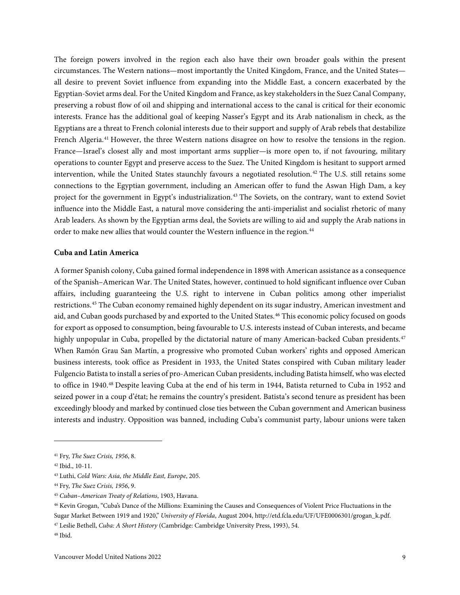The foreign powers involved in the region each also have their own broader goals within the present circumstances. The Western nations—most importantly the United Kingdom, France, and the United States all desire to prevent Soviet influence from expanding into the Middle East, a concern exacerbated by the Egyptian-Soviet arms deal. For the United Kingdom and France, as key stakeholders in the Suez Canal Company, preserving a robust flow of oil and shipping and international access to the canal is critical for their economic interests. France has the additional goal of keeping Nasser's Egypt and its Arab nationalism in check, as the Egyptians are a threat to French colonial interests due to their support and supply of Arab rebels that destabilize French Algeria.<sup>[41](#page-11-1)</sup> However, the three Western nations disagree on how to resolve the tensions in the region. France—Israel's closest ally and most important arms supplier—is more open to, if not favouring, military operations to counter Egypt and preserve access to the Suez. The United Kingdom is hesitant to support armed intervention, while the United States staunchly favours a negotiated resolution.[42](#page-11-2) The U.S. still retains some connections to the Egyptian government, including an American offer to fund the Aswan High Dam, a key project for the government in Egypt's industrialization.[43](#page-11-3) The Soviets, on the contrary, want to extend Soviet influence into the Middle East, a natural move considering the anti-imperialist and socialist rhetoric of many Arab leaders. As shown by the Egyptian arms deal, the Soviets are willing to aid and supply the Arab nations in order to make new allies that would counter the Western influence in the region.<sup>[44](#page-11-4)</sup>

#### <span id="page-11-0"></span>**Cuba and Latin America**

A former Spanish colony, Cuba gained formal independence in 1898 with American assistance as a consequence of the Spanish–American War. The United States, however, continued to hold significant influence over Cuban affairs, including guaranteeing the U.S. right to intervene in Cuban politics among other imperialist restrictions.[45](#page-11-5) The Cuban economy remained highly dependent on its sugar industry, American investment and aid, and Cuban goods purchased by and exported to the United States.<sup>[46](#page-11-6)</sup> This economic policy focused on goods for export as opposed to consumption, being favourable to U.S. interests instead of Cuban interests, and became highly unpopular in Cuba, propelled by the dictatorial nature of many American-backed Cuban presidents.<sup>[47](#page-11-7)</sup> When Ramón Grau San Martín, a progressive who promoted Cuban workers' rights and opposed American business interests, took office as President in 1933, the United States conspired with Cuban military leader Fulgencio Batista to install a series of pro-American Cuban presidents, including Batista himself, who was elected to office in 1940.[48](#page-11-8) Despite leaving Cuba at the end of his term in 1944, Batista returned to Cuba in 1952 and seized power in a coup d'état; he remains the country's president. Batista's second tenure as president has been exceedingly bloody and marked by continued close ties between the Cuban government and American business interests and industry. Opposition was banned, including Cuba's communist party, labour unions were taken

<span id="page-11-1"></span><sup>41</sup> Fry, *The Suez Crisis, 1956*, 8.

<span id="page-11-2"></span><sup>42</sup> Ibid., 10-11.

<span id="page-11-3"></span><sup>43</sup> Luthi, *Cold Wars: Asia, the Middle East, Europe*, 205.

<span id="page-11-4"></span><sup>44</sup> Fry, *The Suez Crisis, 1956*, 9.

<span id="page-11-5"></span><sup>45</sup> *Cuban–American Treaty of Relations*, 1903, Havana.

<span id="page-11-6"></span><sup>46</sup> Kevin Grogan, "Cuba's Dance of the Millions: Examining the Causes and Consequences of Violent Price Fluctuations in the Sugar Market Between 1919 and 1920," *University of Florida*, August 2004, http://etd.fcla.edu/UF/UFE0006301/grogan\_k.pdf.

<span id="page-11-7"></span><sup>47</sup> Leslie Bethell, *Cuba: A Short History* (Cambridge: Cambridge University Press, 1993), 54.

<span id="page-11-8"></span><sup>48</sup> Ibid.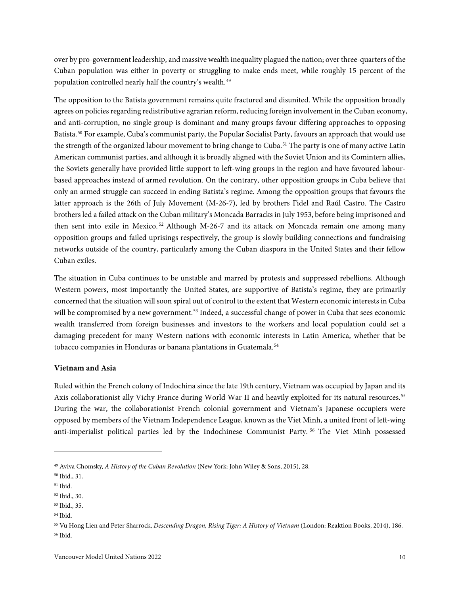over by pro-government leadership, and massive wealth inequality plagued the nation; over three-quarters of the Cuban population was either in poverty or struggling to make ends meet, while roughly 15 percent of the population controlled nearly half the country's wealth.<sup>[49](#page-12-1)</sup>

The opposition to the Batista government remains quite fractured and disunited. While the opposition broadly agrees on policies regarding redistributive agrarian reform, reducing foreign involvement in the Cuban economy, and anti-corruption, no single group is dominant and many groups favour differing approaches to opposing Batista.<sup>[50](#page-12-2)</sup> For example, Cuba's communist party, the Popular Socialist Party, favours an approach that would use the strength of the organized labour movement to bring change to Cuba.<sup>[51](#page-12-3)</sup> The party is one of many active Latin American communist parties, and although it is broadly aligned with the Soviet Union and its Comintern allies, the Soviets generally have provided little support to left-wing groups in the region and have favoured labourbased approaches instead of armed revolution. On the contrary, other opposition groups in Cuba believe that only an armed struggle can succeed in ending Batista's regime. Among the opposition groups that favours the latter approach is the 26th of July Movement (M-26-7), led by brothers Fidel and Raúl Castro. The Castro brothers led a failed attack on the Cuban military's Moncada Barracks in July 1953, before being imprisoned and then sent into exile in Mexico.<sup>[52](#page-12-4)</sup> Although M-26-7 and its attack on Moncada remain one among many opposition groups and failed uprisings respectively, the group is slowly building connections and fundraising networks outside of the country, particularly among the Cuban diaspora in the United States and their fellow Cuban exiles.

The situation in Cuba continues to be unstable and marred by protests and suppressed rebellions. Although Western powers, most importantly the United States, are supportive of Batista's regime, they are primarily concerned that the situation will soon spiral out of control to the extent that Western economic interests in Cuba will be compromised by a new government.<sup>[53](#page-12-5)</sup> Indeed, a successful change of power in Cuba that sees economic wealth transferred from foreign businesses and investors to the workers and local population could set a damaging precedent for many Western nations with economic interests in Latin America, whether that be tobacco companies in Honduras or banana plantations in Guatemala.<sup>[54](#page-12-6)</sup>

#### <span id="page-12-0"></span>**Vietnam and Asia**

Ruled within the French colony of Indochina since the late 19th century, Vietnam was occupied by Japan and its Axis collaborationist ally Vichy France during World War II and heavily exploited for its natural resources.[55](#page-12-7) During the war, the collaborationist French colonial government and Vietnam's Japanese occupiers were opposed by members of the Vietnam Independence League, known as the Viet Minh, a united front of left-wing anti-imperialist political parties led by the Indochinese Communist Party. [56](#page-12-8) The Viet Minh possessed

<span id="page-12-1"></span><sup>49</sup> Aviva Chomsky, *A History of the Cuban Revolution* (New York: John Wiley & Sons, 2015), 28.

<span id="page-12-2"></span><sup>50</sup> Ibid., 31.

<span id="page-12-3"></span><sup>51</sup> Ibid.

<span id="page-12-4"></span><sup>52</sup> Ibid., 30.

<span id="page-12-5"></span><sup>53</sup> Ibid., 35.

<span id="page-12-6"></span><sup>54</sup> Ibid.

<span id="page-12-8"></span><span id="page-12-7"></span><sup>55</sup> Vu Hong Lien and Peter Sharrock, *Descending Dragon, Rising Tiger: A History of Vietnam* (London: Reaktion Books, 2014), 186. <sup>56</sup> Ibid.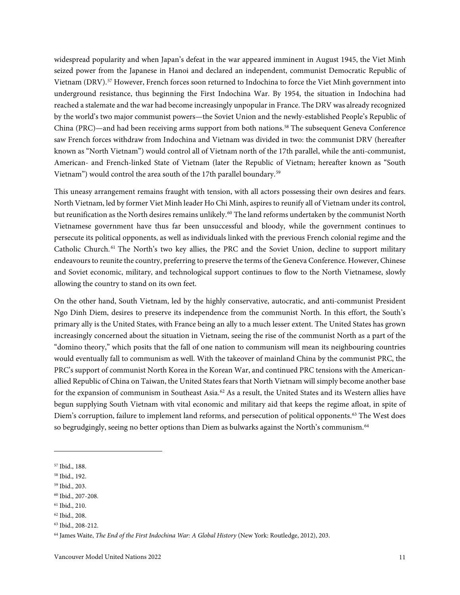widespread popularity and when Japan's defeat in the war appeared imminent in August 1945, the Viet Minh seized power from the Japanese in Hanoi and declared an independent, communist Democratic Republic of Vietnam (DRV).[57](#page-13-0) However, French forces soon returned to Indochina to force the Viet Minh government into underground resistance, thus beginning the First Indochina War. By 1954, the situation in Indochina had reached a stalemate and the war had become increasingly unpopular in France. The DRV was already recognized by the world's two major communist powers—the Soviet Union and the newly-established People's Republic of China (PRC)—and had been receiving arms support from both nations.<sup>[58](#page-13-1)</sup> The subsequent Geneva Conference saw French forces withdraw from Indochina and Vietnam was divided in two: the communist DRV (hereafter known as "North Vietnam") would control all of Vietnam north of the 17th parallel, while the anti-communist, American- and French-linked State of Vietnam (later the Republic of Vietnam; hereafter known as "South Vietnam") would control the area south of the 17th parallel boundary.[59](#page-13-2)

This uneasy arrangement remains fraught with tension, with all actors possessing their own desires and fears. North Vietnam, led by former Viet Minh leader Ho Chi Minh, aspires to reunify all of Vietnam under its control, but reunification as the North desires remains unlikely.<sup>[60](#page-13-3)</sup> The land reforms undertaken by the communist North Vietnamese government have thus far been unsuccessful and bloody, while the government continues to persecute its political opponents, as well as individuals linked with the previous French colonial regime and the Catholic Church. [61](#page-13-4) The North's two key allies, the PRC and the Soviet Union, decline to support military endeavours to reunite the country, preferring to preserve the terms of the Geneva Conference. However, Chinese and Soviet economic, military, and technological support continues to flow to the North Vietnamese, slowly allowing the country to stand on its own feet.

On the other hand, South Vietnam, led by the highly conservative, autocratic, and anti-communist President Ngo Dinh Diem, desires to preserve its independence from the communist North. In this effort, the South's primary ally is the United States, with France being an ally to a much lesser extent. The United States has grown increasingly concerned about the situation in Vietnam, seeing the rise of the communist North as a part of the "domino theory," which posits that the fall of one nation to communism will mean its neighbouring countries would eventually fall to communism as well. With the takeover of mainland China by the communist PRC, the PRC's support of communist North Korea in the Korean War, and continued PRC tensions with the Americanallied Republic of China on Taiwan, the United States fears that North Vietnam will simply become another base for the expansion of communism in Southeast Asia.<sup>[62](#page-13-5)</sup> As a result, the United States and its Western allies have begun supplying South Vietnam with vital economic and military aid that keeps the regime afloat, in spite of Diem's corruption, failure to implement land reforms, and persecution of political opponents.[63](#page-13-6) The West does so begrudgingly, seeing no better options than Diem as bulwarks against the North's communism.<sup>[64](#page-13-7)</sup>

<span id="page-13-4"></span><sup>61</sup> Ibid., 210.

<span id="page-13-0"></span><sup>57</sup> Ibid., 188.

<span id="page-13-1"></span><sup>58</sup> Ibid., 192.

<span id="page-13-2"></span><sup>59</sup> Ibid., 203.

<span id="page-13-3"></span><sup>60</sup> Ibid., 207-208.

<span id="page-13-5"></span><sup>62</sup> Ibid., 208.

<span id="page-13-6"></span><sup>63</sup> Ibid., 208-212.

<span id="page-13-7"></span><sup>64</sup> James Waite, *The End of the First Indochina War: A Global History* (New York: Routledge, 2012), 203.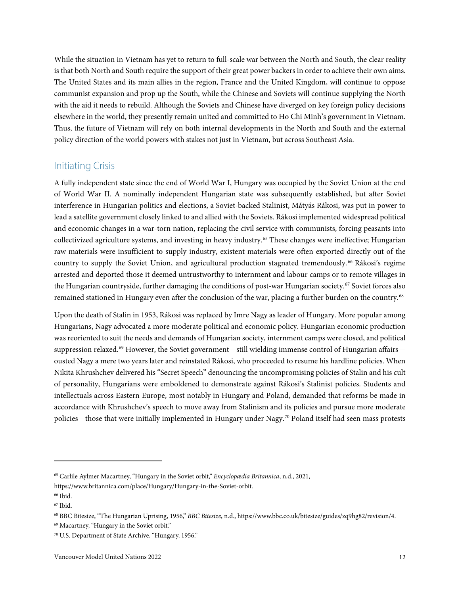While the situation in Vietnam has yet to return to full-scale war between the North and South, the clear reality is that both North and South require the support of their great power backers in order to achieve their own aims. The United States and its main allies in the region, France and the United Kingdom, will continue to oppose communist expansion and prop up the South, while the Chinese and Soviets will continue supplying the North with the aid it needs to rebuild. Although the Soviets and Chinese have diverged on key foreign policy decisions elsewhere in the world, they presently remain united and committed to Ho Chi Minh's government in Vietnam. Thus, the future of Vietnam will rely on both internal developments in the North and South and the external policy direction of the world powers with stakes not just in Vietnam, but across Southeast Asia.

### <span id="page-14-0"></span>Initiating Crisis

A fully independent state since the end of World War I, Hungary was occupied by the Soviet Union at the end of World War II. A nominally independent Hungarian state was subsequently established, but after Soviet interference in Hungarian politics and elections, a Soviet-backed Stalinist, Mátyás Rákosi, was put in power to lead a satellite government closely linked to and allied with the Soviets. Rákosi implemented widespread political and economic changes in a war-torn nation, replacing the civil service with communists, forcing peasants into collectivized agriculture systems, and investing in heavy industry.[65](#page-14-1) These changes were ineffective; Hungarian raw materials were insufficient to supply industry, existent materials were often exported directly out of the country to supply the Soviet Union, and agricultural production stagnated tremendously.<sup>[66](#page-14-2)</sup> Rákosi's regime arrested and deported those it deemed untrustworthy to internment and labour camps or to remote villages in the Hungarian countryside, further damaging the conditions of post-war Hungarian society.[67](#page-14-3) Soviet forces also remained stationed in Hungary even after the conclusion of the war, placing a further burden on the country.<sup>[68](#page-14-4)</sup>

Upon the death of Stalin in 1953, Rákosi was replaced by Imre Nagy as leader of Hungary. More popular among Hungarians, Nagy advocated a more moderate political and economic policy. Hungarian economic production was reoriented to suit the needs and demands of Hungarian society, internment camps were closed, and political suppression relaxed.<sup>[69](#page-14-5)</sup> However, the Soviet government—still wielding immense control of Hungarian affairs ousted Nagy a mere two years later and reinstated Rákosi, who proceeded to resume his hardline policies. When Nikita Khrushchev delivered his "Secret Speech" denouncing the uncompromising policies of Stalin and his cult of personality, Hungarians were emboldened to demonstrate against Rákosi's Stalinist policies. Students and intellectuals across Eastern Europe, most notably in Hungary and Poland, demanded that reforms be made in accordance with Khrushchev's speech to move away from Stalinism and its policies and pursue more moderate policies—those that were initially implemented in Hungary under Nagy.[70](#page-14-6) Poland itself had seen mass protests

<span id="page-14-1"></span><sup>65</sup> Carlile Aylmer Macartney, "Hungary in the Soviet orbit," *Encyclopædia Britannica*, n.d., 2021,

https://www.britannica.com/place/Hungary/Hungary-in-the-Soviet-orbit.

<span id="page-14-2"></span><sup>&</sup>lt;sup>66</sup> Ibid.

<span id="page-14-3"></span><sup>67</sup> Ibid.

<span id="page-14-4"></span><sup>68</sup> BBC Bitesize, "The Hungarian Uprising, 1956," *BBC Bitesize*, n.d., https://www.bbc.co.uk/bitesize/guides/zq9hg82/revision/4.

<span id="page-14-5"></span><sup>69</sup> Macartney, "Hungary in the Soviet orbit."

<span id="page-14-6"></span><sup>70</sup> U.S. Department of State Archive, "Hungary, 1956."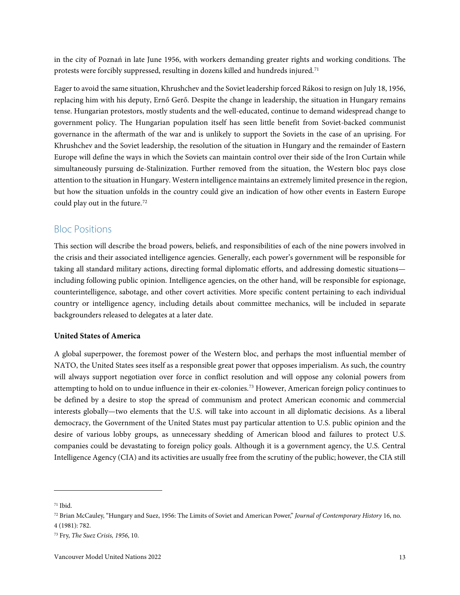in the city of Poznań in late June 1956, with workers demanding greater rights and working conditions. The protests were forcibly suppressed, resulting in dozens killed and hundreds injured.<sup>[71](#page-15-2)</sup>

Eager to avoid the same situation, Khrushchev and the Soviet leadership forced Rákosi to resign on July 18, 1956, replacing him with his deputy, Ernő Gerő. Despite the change in leadership, the situation in Hungary remains tense. Hungarian protestors, mostly students and the well-educated, continue to demand widespread change to government policy. The Hungarian population itself has seen little benefit from Soviet-backed communist governance in the aftermath of the war and is unlikely to support the Soviets in the case of an uprising. For Khrushchev and the Soviet leadership, the resolution of the situation in Hungary and the remainder of Eastern Europe will define the ways in which the Soviets can maintain control over their side of the Iron Curtain while simultaneously pursuing de-Stalinization. Further removed from the situation, the Western bloc pays close attention to the situation in Hungary. Western intelligence maintains an extremely limited presence in the region, but how the situation unfolds in the country could give an indication of how other events in Eastern Europe could play out in the future.[72](#page-15-3)

### <span id="page-15-0"></span>Bloc Positions

This section will describe the broad powers, beliefs, and responsibilities of each of the nine powers involved in the crisis and their associated intelligence agencies. Generally, each power's government will be responsible for taking all standard military actions, directing formal diplomatic efforts, and addressing domestic situations including following public opinion. Intelligence agencies, on the other hand, will be responsible for espionage, counterintelligence, sabotage, and other covert activities. More specific content pertaining to each individual country or intelligence agency, including details about committee mechanics, will be included in separate backgrounders released to delegates at a later date.

#### <span id="page-15-1"></span>**United States of America**

A global superpower, the foremost power of the Western bloc, and perhaps the most influential member of NATO, the United States sees itself as a responsible great power that opposes imperialism. As such, the country will always support negotiation over force in conflict resolution and will oppose any colonial powers from attempting to hold on to undue influence in their ex-colonies.[73](#page-15-4) However, American foreign policy continues to be defined by a desire to stop the spread of communism and protect American economic and commercial interests globally—two elements that the U.S. will take into account in all diplomatic decisions. As a liberal democracy, the Government of the United States must pay particular attention to U.S. public opinion and the desire of various lobby groups, as unnecessary shedding of American blood and failures to protect U.S. companies could be devastating to foreign policy goals. Although it is a government agency, the U.S. Central Intelligence Agency (CIA) and its activities are usually free from the scrutiny of the public; however, the CIA still

<span id="page-15-2"></span> $71$  Ibid.

<span id="page-15-3"></span><sup>72</sup> Brian McCauley, "Hungary and Suez, 1956: The Limits of Soviet and American Power," *Journal of Contemporary History* 16, no. 4 (1981): 782.

<span id="page-15-4"></span><sup>73</sup> Fry, *The Suez Crisis, 1956*, 10.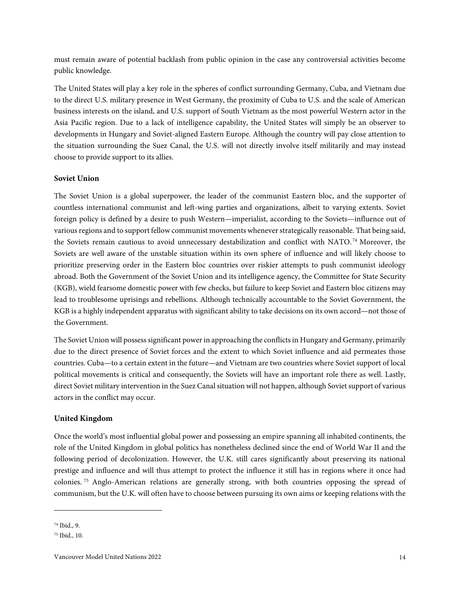must remain aware of potential backlash from public opinion in the case any controversial activities become public knowledge.

The United States will play a key role in the spheres of conflict surrounding Germany, Cuba, and Vietnam due to the direct U.S. military presence in West Germany, the proximity of Cuba to U.S. and the scale of American business interests on the island, and U.S. support of South Vietnam as the most powerful Western actor in the Asia Pacific region. Due to a lack of intelligence capability, the United States will simply be an observer to developments in Hungary and Soviet-aligned Eastern Europe. Although the country will pay close attention to the situation surrounding the Suez Canal, the U.S. will not directly involve itself militarily and may instead choose to provide support to its allies.

#### <span id="page-16-0"></span>**Soviet Union**

The Soviet Union is a global superpower, the leader of the communist Eastern bloc, and the supporter of countless international communist and left-wing parties and organizations, albeit to varying extents. Soviet foreign policy is defined by a desire to push Western—imperialist, according to the Soviets—influence out of various regions and to support fellow communist movements whenever strategically reasonable. That being said, the Soviets remain cautious to avoid unnecessary destabilization and conflict with NATO. [74](#page-16-2) Moreover, the Soviets are well aware of the unstable situation within its own sphere of influence and will likely choose to prioritize preserving order in the Eastern bloc countries over riskier attempts to push communist ideology abroad. Both the Government of the Soviet Union and its intelligence agency, the Committee for State Security (KGB), wield fearsome domestic power with few checks, but failure to keep Soviet and Eastern bloc citizens may lead to troublesome uprisings and rebellions. Although technically accountable to the Soviet Government, the KGB is a highly independent apparatus with significant ability to take decisions on its own accord—not those of the Government.

The Soviet Union will possess significant powerin approaching the conflicts in Hungary and Germany, primarily due to the direct presence of Soviet forces and the extent to which Soviet influence and aid permeates those countries. Cuba—to a certain extent in the future—and Vietnam are two countries where Soviet support of local political movements is critical and consequently, the Soviets will have an important role there as well. Lastly, direct Soviet military intervention in the Suez Canal situation will not happen, although Soviet support of various actors in the conflict may occur.

#### <span id="page-16-1"></span>**United Kingdom**

Once the world's most influential global power and possessing an empire spanning all inhabited continents, the role of the United Kingdom in global politics has nonetheless declined since the end of World War II and the following period of decolonization. However, the U.K. still cares significantly about preserving its national prestige and influence and will thus attempt to protect the influence it still has in regions where it once had colonies. [75](#page-16-3) Anglo-American relations are generally strong, with both countries opposing the spread of communism, but the U.K. will often have to choose between pursuing its own aims or keeping relations with the

<span id="page-16-2"></span><sup>74</sup> Ibid., 9.

<span id="page-16-3"></span><sup>75</sup> Ibid., 10.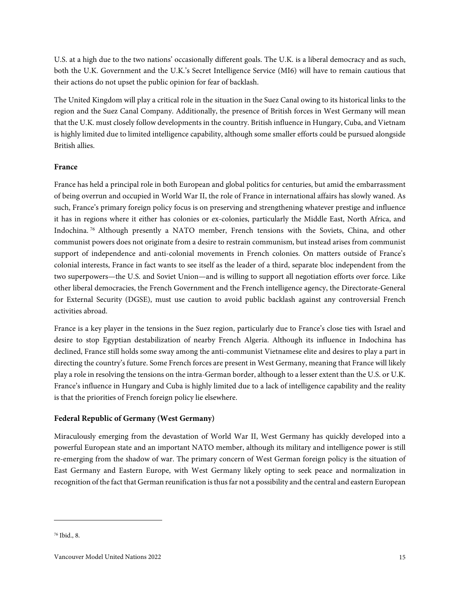U.S. at a high due to the two nations' occasionally different goals. The U.K. is a liberal democracy and as such, both the U.K. Government and the U.K.'s Secret Intelligence Service (MI6) will have to remain cautious that their actions do not upset the public opinion for fear of backlash.

The United Kingdom will play a critical role in the situation in the Suez Canal owing to its historical links to the region and the Suez Canal Company. Additionally, the presence of British forces in West Germany will mean that the U.K. must closely follow developments in the country. British influence in Hungary, Cuba, and Vietnam is highly limited due to limited intelligence capability, although some smaller efforts could be pursued alongside British allies.

#### <span id="page-17-0"></span>**France**

France has held a principal role in both European and global politics for centuries, but amid the embarrassment of being overrun and occupied in World War II, the role of France in international affairs has slowly waned. As such, France's primary foreign policy focus is on preserving and strengthening whatever prestige and influence it has in regions where it either has colonies or ex-colonies, particularly the Middle East, North Africa, and Indochina. [76](#page-17-2) Although presently a NATO member, French tensions with the Soviets, China, and other communist powers does not originate from a desire to restrain communism, but instead arises from communist support of independence and anti-colonial movements in French colonies. On matters outside of France's colonial interests, France in fact wants to see itself as the leader of a third, separate bloc independent from the two superpowers—the U.S. and Soviet Union—and is willing to support all negotiation efforts over force. Like other liberal democracies, the French Government and the French intelligence agency, the Directorate-General for External Security (DGSE), must use caution to avoid public backlash against any controversial French activities abroad.

France is a key player in the tensions in the Suez region, particularly due to France's close ties with Israel and desire to stop Egyptian destabilization of nearby French Algeria. Although its influence in Indochina has declined, France still holds some sway among the anti-communist Vietnamese elite and desires to play a part in directing the country's future. Some French forces are present in West Germany, meaning that France will likely play a role in resolving the tensions on the intra-German border, although to a lesser extent than the U.S. or U.K. France's influence in Hungary and Cuba is highly limited due to a lack of intelligence capability and the reality is that the priorities of French foreign policy lie elsewhere.

#### <span id="page-17-1"></span>**Federal Republic of Germany (West Germany)**

Miraculously emerging from the devastation of World War II, West Germany has quickly developed into a powerful European state and an important NATO member, although its military and intelligence power is still re-emerging from the shadow of war. The primary concern of West German foreign policy is the situation of East Germany and Eastern Europe, with West Germany likely opting to seek peace and normalization in recognition of the fact that German reunification is thus far not a possibility and the central and eastern European

<span id="page-17-2"></span><sup>76</sup> Ibid., 8.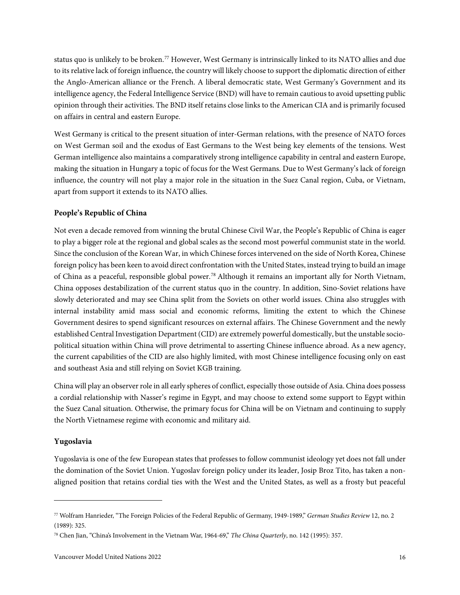status quo is unlikely to be broken.[77](#page-18-2) However, West Germany is intrinsically linked to its NATO allies and due to its relative lack of foreign influence, the country will likely choose to support the diplomatic direction of either the Anglo-American alliance or the French. A liberal democratic state, West Germany's Government and its intelligence agency, the Federal Intelligence Service (BND) will have to remain cautious to avoid upsetting public opinion through their activities. The BND itself retains close links to the American CIA and is primarily focused on affairs in central and eastern Europe.

West Germany is critical to the present situation of inter-German relations, with the presence of NATO forces on West German soil and the exodus of East Germans to the West being key elements of the tensions. West German intelligence also maintains a comparatively strong intelligence capability in central and eastern Europe, making the situation in Hungary a topic of focus for the West Germans. Due to West Germany's lack of foreign influence, the country will not play a major role in the situation in the Suez Canal region, Cuba, or Vietnam, apart from support it extends to its NATO allies.

#### <span id="page-18-0"></span>**People's Republic of China**

Not even a decade removed from winning the brutal Chinese Civil War, the People's Republic of China is eager to play a bigger role at the regional and global scales as the second most powerful communist state in the world. Since the conclusion of the Korean War, in which Chinese forces intervened on the side of North Korea, Chinese foreign policy has been keen to avoid direct confrontation with the United States, instead trying to build an image of China as a peaceful, responsible global power.[78](#page-18-3) Although it remains an important ally for North Vietnam, China opposes destabilization of the current status quo in the country. In addition, Sino-Soviet relations have slowly deteriorated and may see China split from the Soviets on other world issues. China also struggles with internal instability amid mass social and economic reforms, limiting the extent to which the Chinese Government desires to spend significant resources on external affairs. The Chinese Government and the newly established Central Investigation Department (CID) are extremely powerful domestically, but the unstable sociopolitical situation within China will prove detrimental to asserting Chinese influence abroad. As a new agency, the current capabilities of the CID are also highly limited, with most Chinese intelligence focusing only on east and southeast Asia and still relying on Soviet KGB training.

China will play an observer role in all early spheres of conflict, especially those outside of Asia. China does possess a cordial relationship with Nasser's regime in Egypt, and may choose to extend some support to Egypt within the Suez Canal situation. Otherwise, the primary focus for China will be on Vietnam and continuing to supply the North Vietnamese regime with economic and military aid.

#### <span id="page-18-1"></span>**Yugoslavia**

Yugoslavia is one of the few European states that professes to follow communist ideology yet does not fall under the domination of the Soviet Union. Yugoslav foreign policy under its leader, Josip Broz Tito, has taken a nonaligned position that retains cordial ties with the West and the United States, as well as a frosty but peaceful

<span id="page-18-2"></span><sup>77</sup> Wolfram Hanrieder, "The Foreign Policies of the Federal Republic of Germany, 1949-1989," *German Studies Review* 12, no. 2 (1989): 325.

<span id="page-18-3"></span><sup>78</sup> Chen Jian, "China's Involvement in the Vietnam War, 1964-69," *The China Quarterly*, no. 142 (1995): 357.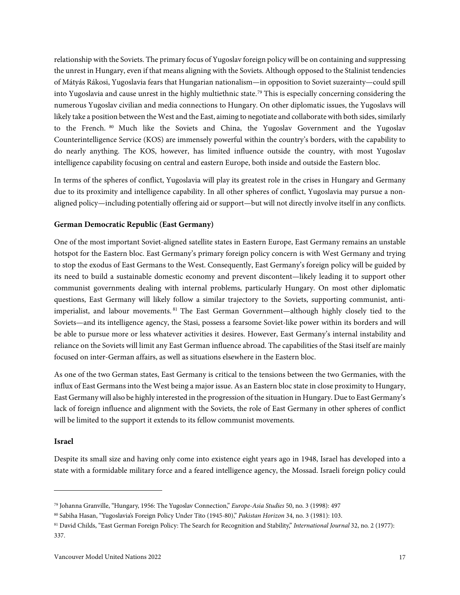relationship with the Soviets. The primary focus of Yugoslav foreign policy will be on containing and suppressing the unrest in Hungary, even if that means aligning with the Soviets. Although opposed to the Stalinist tendencies of Mátyás Rákosi, Yugoslavia fears that Hungarian nationalism—in opposition to Soviet suzerainty—could spill into Yugoslavia and cause unrest in the highly multiethnic state.[79](#page-19-2) This is especially concerning considering the numerous Yugoslav civilian and media connections to Hungary. On other diplomatic issues, the Yugoslavs will likely take a position between the West and the East, aiming to negotiate and collaborate with both sides, similarly to the French. [80](#page-19-3) Much like the Soviets and China, the Yugoslav Government and the Yugoslav Counterintelligence Service (KOS) are immensely powerful within the country's borders, with the capability to do nearly anything. The KOS, however, has limited influence outside the country, with most Yugoslav intelligence capability focusing on central and eastern Europe, both inside and outside the Eastern bloc.

In terms of the spheres of conflict, Yugoslavia will play its greatest role in the crises in Hungary and Germany due to its proximity and intelligence capability. In all other spheres of conflict, Yugoslavia may pursue a nonaligned policy—including potentially offering aid or support—but will not directly involve itself in any conflicts.

#### <span id="page-19-0"></span>**German Democratic Republic (East Germany)**

One of the most important Soviet-aligned satellite states in Eastern Europe, East Germany remains an unstable hotspot for the Eastern bloc. East Germany's primary foreign policy concern is with West Germany and trying to stop the exodus of East Germans to the West. Consequently, East Germany's foreign policy will be guided by its need to build a sustainable domestic economy and prevent discontent—likely leading it to support other communist governments dealing with internal problems, particularly Hungary. On most other diplomatic questions, East Germany will likely follow a similar trajectory to the Soviets, supporting communist, antiimperialist, and labour movements. [81](#page-19-4) The East German Government—although highly closely tied to the Soviets—and its intelligence agency, the Stasi, possess a fearsome Soviet-like power within its borders and will be able to pursue more or less whatever activities it desires. However, East Germany's internal instability and reliance on the Soviets will limit any East German influence abroad. The capabilities of the Stasi itself are mainly focused on inter-German affairs, as well as situations elsewhere in the Eastern bloc.

As one of the two German states, East Germany is critical to the tensions between the two Germanies, with the influx of East Germans into the West being a major issue. As an Eastern bloc state in close proximity to Hungary, East Germany will also be highly interested in the progression of the situation in Hungary. Due to East Germany's lack of foreign influence and alignment with the Soviets, the role of East Germany in other spheres of conflict will be limited to the support it extends to its fellow communist movements.

#### <span id="page-19-1"></span>**Israel**

Despite its small size and having only come into existence eight years ago in 1948, Israel has developed into a state with a formidable military force and a feared intelligence agency, the Mossad. Israeli foreign policy could

<span id="page-19-2"></span><sup>79</sup> Johanna Granville, "Hungary, 1956: The Yugoslav Connection," *Europe-Asia Studies* 50, no. 3 (1998): 497

<span id="page-19-3"></span><sup>80</sup> Sabiha Hasan, "Yugoslavia's Foreign Policy Under Tito (1945-80)," *Pakistan Horizon* 34, no. 3 (1981): 103.

<span id="page-19-4"></span><sup>81</sup> David Childs, "East German Foreign Policy: The Search for Recognition and Stability," *International Journal* 32, no. 2 (1977): 337.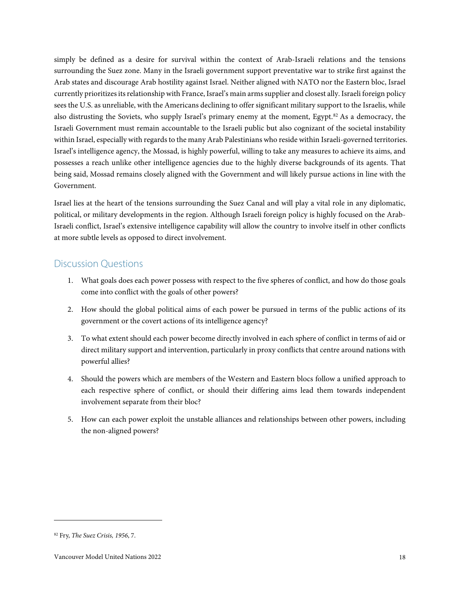simply be defined as a desire for survival within the context of Arab-Israeli relations and the tensions surrounding the Suez zone. Many in the Israeli government support preventative war to strike first against the Arab states and discourage Arab hostility against Israel. Neither aligned with NATO nor the Eastern bloc, Israel currently prioritizes its relationship with France, Israel's main arms supplier and closest ally. Israeli foreign policy sees the U.S. as unreliable, with the Americans declining to offer significant military support to the Israelis, while also distrusting the Soviets, who supply Israel's primary enemy at the moment, Egypt.<sup>[82](#page-20-1)</sup> As a democracy, the Israeli Government must remain accountable to the Israeli public but also cognizant of the societal instability within Israel, especially with regards to the many Arab Palestinians who reside within Israeli-governed territories. Israel's intelligence agency, the Mossad, is highly powerful, willing to take any measures to achieve its aims, and possesses a reach unlike other intelligence agencies due to the highly diverse backgrounds of its agents. That being said, Mossad remains closely aligned with the Government and will likely pursue actions in line with the Government.

Israel lies at the heart of the tensions surrounding the Suez Canal and will play a vital role in any diplomatic, political, or military developments in the region. Although Israeli foreign policy is highly focused on the Arab-Israeli conflict, Israel's extensive intelligence capability will allow the country to involve itself in other conflicts at more subtle levels as opposed to direct involvement.

## <span id="page-20-0"></span>Discussion Questions

- 1. What goals does each power possess with respect to the five spheres of conflict, and how do those goals come into conflict with the goals of other powers?
- 2. How should the global political aims of each power be pursued in terms of the public actions of its government or the covert actions of its intelligence agency?
- 3. To what extent should each power become directly involved in each sphere of conflict in terms of aid or direct military support and intervention, particularly in proxy conflicts that centre around nations with powerful allies?
- 4. Should the powers which are members of the Western and Eastern blocs follow a unified approach to each respective sphere of conflict, or should their differing aims lead them towards independent involvement separate from their bloc?
- 5. How can each power exploit the unstable alliances and relationships between other powers, including the non-aligned powers?

<span id="page-20-1"></span><sup>82</sup> Fry, *The Suez Crisis, 1956*, 7.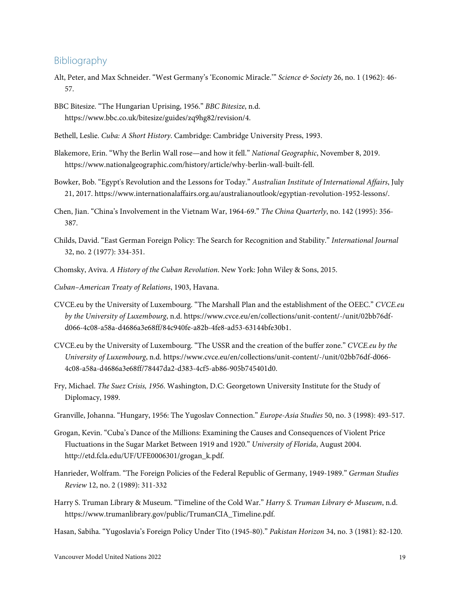#### <span id="page-21-0"></span>Bibliography

- Alt, Peter, and Max Schneider. "West Germany's 'Economic Miracle.'" *Science & Society* 26, no. 1 (1962): 46- 57.
- BBC Bitesize. "The Hungarian Uprising, 1956." *BBC Bitesize*, n.d. https://www.bbc.co.uk/bitesize/guides/zq9hg82/revision/4.
- Bethell, Leslie. *Cuba: A Short History*. Cambridge: Cambridge University Press, 1993.
- Blakemore, Erin. "Why the Berlin Wall rose—and how it fell." *National Geographic*, November 8, 2019. https://www.nationalgeographic.com/history/article/why-berlin-wall-built-fell.
- Bowker, Bob. "Egypt's Revolution and the Lessons for Today." *Australian Institute of International Affairs*, July 21, 2017. https://www.internationalaffairs.org.au/australianoutlook/egyptian-revolution-1952-lessons/.
- Chen, Jian. "China's Involvement in the Vietnam War, 1964-69." *The China Quarterly*, no. 142 (1995): 356- 387.
- Childs, David. "East German Foreign Policy: The Search for Recognition and Stability." *International Journal* 32, no. 2 (1977): 334-351.
- Chomsky, Aviva. *A History of the Cuban Revolution*. New York: John Wiley & Sons, 2015.
- *Cuban–American Treaty of Relations*, 1903, Havana.
- CVCE.eu by the University of Luxembourg. "The Marshall Plan and the establishment of the OEEC." *CVCE.eu by the University of Luxembourg*, n.d. https://www.cvce.eu/en/collections/unit-content/-/unit/02bb76dfd066-4c08-a58a-d4686a3e68ff/84c940fe-a82b-4fe8-ad53-63144bfe30b1.
- CVCE.eu by the University of Luxembourg. "The USSR and the creation of the buffer zone." *CVCE.eu by the University of Luxembourg*, n.d. https://www.cvce.eu/en/collections/unit-content/-/unit/02bb76df-d066- 4c08-a58a-d4686a3e68ff/78447da2-d383-4cf5-ab86-905b745401d0.
- Fry, Michael. *The Suez Crisis, 1956*. Washington, D.C: Georgetown University Institute for the Study of Diplomacy, 1989.
- Granville, Johanna. "Hungary, 1956: The Yugoslav Connection." *Europe-Asia Studies* 50, no. 3 (1998): 493-517.
- Grogan, Kevin. "Cuba's Dance of the Millions: Examining the Causes and Consequences of Violent Price Fluctuations in the Sugar Market Between 1919 and 1920." *University of Florida*, August 2004. http://etd.fcla.edu/UF/UFE0006301/grogan\_k.pdf.
- Hanrieder, Wolfram. "The Foreign Policies of the Federal Republic of Germany, 1949-1989." *German Studies Review* 12, no. 2 (1989): 311-332
- Harry S. Truman Library & Museum. "Timeline of the Cold War." *Harry S. Truman Library & Museum*, n.d. https://www.trumanlibrary.gov/public/TrumanCIA\_Timeline.pdf.
- Hasan, Sabiha. "Yugoslavia's Foreign Policy Under Tito (1945-80)." *Pakistan Horizon* 34, no. 3 (1981): 82-120.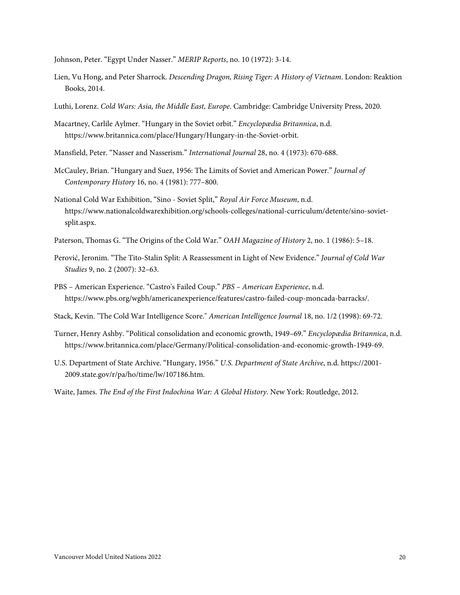Johnson, Peter. "Egypt Under Nasser." *MERIP Reports*, no. 10 (1972): 3-14.

- Lien, Vu Hong, and Peter Sharrock. *Descending Dragon, Rising Tiger: A History of Vietnam*. London: Reaktion Books, 2014.
- Luthi, Lorenz. *Cold Wars: Asia, the Middle East, Europe*. Cambridge: Cambridge University Press, 2020.
- Macartney, Carlile Aylmer. "Hungary in the Soviet orbit." *Encyclopædia Britannica*, n.d. https://www.britannica.com/place/Hungary/Hungary-in-the-Soviet-orbit.
- Mansfield, Peter. "Nasser and Nasserism." *International Journal* 28, no. 4 (1973): 670-688.
- McCauley, Brian. "Hungary and Suez, 1956: The Limits of Soviet and American Power." *Journal of Contemporary History* 16, no. 4 (1981): 777–800.
- National Cold War Exhibition, "Sino Soviet Split," *Royal Air Force Museum*, n.d. https://www.nationalcoldwarexhibition.org/schools-colleges/national-curriculum/detente/sino-sovietsplit.aspx.
- Paterson, Thomas G. "The Origins of the Cold War." *OAH Magazine of History* 2, no. 1 (1986): 5–18.
- Perović, Jeronim. "The Tito-Stalin Split: A Reassessment in Light of New Evidence." *Journal of Cold War Studies* 9, no. 2 (2007): 32–63.
- PBS American Experience. "Castro's Failed Coup." *PBS – American Experience*, n.d. https://www.pbs.org/wgbh/americanexperience/features/castro-failed-coup-moncada-barracks/.
- Stack, Kevin. "The Cold War Intelligence Score." *American Intelligence Journal* 18, no. 1/2 (1998): 69-72.
- Turner, Henry Ashby. "Political consolidation and economic growth, 1949–69." *Encyclopædia Britannica*, n.d. https://www.britannica.com/place/Germany/Political-consolidation-and-economic-growth-1949-69.
- U.S. Department of State Archive. "Hungary, 1956." *U.S. Department of State Archive*, n.d. https://2001- 2009.state.gov/r/pa/ho/time/lw/107186.htm.
- Waite, James. *The End of the First Indochina War: A Global History*. New York: Routledge, 2012.